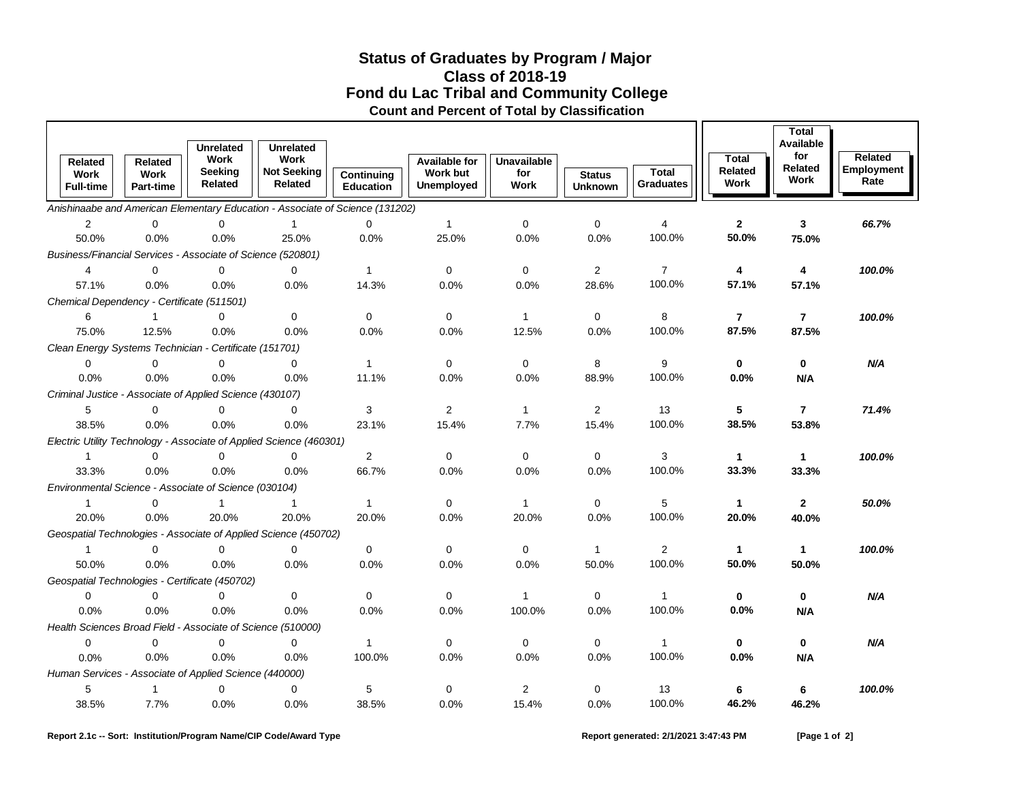## **Fond du Lac Tribal and Community College Status of Graduates by Program / Major Count and Percent of Total by Classification Class of 2018-19**

|                                                             |                                 | <b>Unrelated</b>   | <b>Unrelated</b>                                                              |                                |                        |              |                                 |                                  |                 | <b>Total</b><br>Available |                    |
|-------------------------------------------------------------|---------------------------------|--------------------|-------------------------------------------------------------------------------|--------------------------------|------------------------|--------------|---------------------------------|----------------------------------|-----------------|---------------------------|--------------------|
| <b>Related</b>                                              | Related                         | Work               | Work                                                                          |                                | <b>Available for</b>   | Unavailable  |                                 |                                  | <b>Total</b>    | for                       | Related            |
| Work<br><b>Full-time</b>                                    | <b>Work</b><br><b>Part-time</b> | Seeking<br>Related | <b>Not Seeking</b><br><b>Related</b>                                          | Continuing<br><b>Education</b> | Work but<br>Unemployed | for<br>Work  | <b>Status</b><br><b>Unknown</b> | <b>Total</b><br><b>Graduates</b> | Related<br>Work | Related<br>Work           | Employment<br>Rate |
|                                                             |                                 |                    | Anishinaabe and American Elementary Education - Associate of Science (131202) |                                |                        |              |                                 |                                  |                 |                           |                    |
| $\mathbf{2}$                                                | $\mathbf 0$                     | 0                  | $\mathbf{1}$                                                                  | $\mathbf 0$                    | $\mathbf{1}$           | $\mathbf 0$  | $\mathbf 0$                     | 4                                | $\mathbf{2}$    | 3                         | 66.7%              |
| 50.0%                                                       | 0.0%                            | 0.0%               | 25.0%                                                                         | 0.0%                           | 25.0%                  | 0.0%         | 0.0%                            | 100.0%                           | 50.0%           | 75.0%                     |                    |
| Business/Financial Services - Associate of Science (520801) |                                 |                    |                                                                               |                                |                        |              |                                 |                                  |                 |                           |                    |
| $\overline{4}$                                              | $\mathbf 0$                     | 0                  | $\mathbf 0$                                                                   | $\mathbf{1}$                   | $\mathbf 0$            | $\mathbf 0$  | $\overline{2}$                  | $\overline{7}$                   | 4               | 4                         | 100.0%             |
| 57.1%                                                       | 0.0%                            | 0.0%               | 0.0%                                                                          | 14.3%                          | 0.0%                   | 0.0%         | 28.6%                           | 100.0%                           | 57.1%           | 57.1%                     |                    |
| Chemical Dependency - Certificate (511501)                  |                                 |                    |                                                                               |                                |                        |              |                                 |                                  |                 |                           |                    |
| 6                                                           | $\mathbf 1$                     | $\Omega$           | $\mathbf{0}$                                                                  | $\mathbf 0$                    | $\mathbf 0$            | $\mathbf{1}$ | $\mathbf 0$                     | 8                                | $\overline{7}$  | $\overline{7}$            | 100.0%             |
| 75.0%                                                       | 12.5%                           | 0.0%               | 0.0%                                                                          | 0.0%                           | 0.0%                   | 12.5%        | 0.0%                            | 100.0%                           | 87.5%           | 87.5%                     |                    |
| Clean Energy Systems Technician - Certificate (151701)      |                                 |                    |                                                                               |                                |                        |              |                                 |                                  |                 |                           |                    |
| $\Omega$                                                    | $\Omega$                        | $\mathbf 0$        | $\Omega$                                                                      | $\mathbf{1}$                   | $\mathbf 0$            | $\mathbf 0$  | 8                               | 9                                | $\mathbf{0}$    | $\mathbf{0}$              | N/A                |
| 0.0%                                                        | 0.0%                            | 0.0%               | 0.0%                                                                          | 11.1%                          | 0.0%                   | 0.0%         | 88.9%                           | 100.0%                           | 0.0%            | N/A                       |                    |
| Criminal Justice - Associate of Applied Science (430107)    |                                 |                    |                                                                               |                                |                        |              |                                 |                                  |                 |                           |                    |
| 5                                                           | $\mathbf 0$                     | $\mathbf{0}$       | $\Omega$                                                                      | 3                              | $\overline{2}$         | $\mathbf{1}$ | 2                               | 13                               | 5               | $\overline{7}$            | 71.4%              |
| 38.5%                                                       | 0.0%                            | 0.0%               | 0.0%                                                                          | 23.1%                          | 15.4%                  | 7.7%         | 15.4%                           | 100.0%                           | 38.5%           | 53.8%                     |                    |
|                                                             |                                 |                    | Electric Utility Technology - Associate of Applied Science (460301)           |                                |                        |              |                                 |                                  |                 |                           |                    |
| $\mathbf{1}$                                                | $\Omega$                        | $\mathbf 0$        | $\Omega$                                                                      | $\overline{2}$                 | $\mathbf 0$            | $\mathbf 0$  | $\mathbf 0$                     | 3                                | $\mathbf{1}$    | $\mathbf{1}$              | 100.0%             |
| 33.3%                                                       | 0.0%                            | 0.0%               | 0.0%                                                                          | 66.7%                          | 0.0%                   | 0.0%         | 0.0%                            | 100.0%                           | 33.3%           | 33.3%                     |                    |
| Environmental Science - Associate of Science (030104)       |                                 |                    |                                                                               |                                |                        |              |                                 |                                  |                 |                           |                    |
| $\mathbf{1}$                                                | $\mathbf 0$                     | $\mathbf{1}$       | $\mathbf{1}$                                                                  | $\mathbf{1}$                   | 0                      | $\mathbf{1}$ | $\mathbf 0$                     | 5                                | $\mathbf{1}$    | $\mathbf{2}$              | 50.0%              |
| 20.0%                                                       | 0.0%                            | 20.0%              | 20.0%                                                                         | 20.0%                          | 0.0%                   | 20.0%        | 0.0%                            | 100.0%                           | 20.0%           | 40.0%                     |                    |
|                                                             |                                 |                    | Geospatial Technologies - Associate of Applied Science (450702)               |                                |                        |              |                                 |                                  |                 |                           |                    |
| $\mathbf{1}$                                                | $\Omega$                        | $\Omega$           | $\Omega$                                                                      | $\mathbf 0$                    | $\Omega$               | $\mathbf 0$  | $\mathbf{1}$                    | $\mathbf{2}$                     | $\mathbf{1}$    | 1                         | 100.0%             |
| 50.0%                                                       | 0.0%                            | 0.0%               | 0.0%                                                                          | 0.0%                           | 0.0%                   | 0.0%         | 50.0%                           | 100.0%                           | 50.0%           | 50.0%                     |                    |
| Geospatial Technologies - Certificate (450702)              |                                 |                    |                                                                               |                                |                        |              |                                 |                                  |                 |                           |                    |
| $\mathbf 0$                                                 | $\Omega$                        | $\Omega$           | $\mathbf 0$                                                                   | 0                              | $\mathbf 0$            | $\mathbf{1}$ | $\mathbf 0$                     | 1                                | $\bf{0}$        | $\bf{0}$                  | N/A                |
| 0.0%                                                        | 0.0%                            | 0.0%               | 0.0%                                                                          | 0.0%                           | 0.0%                   | 100.0%       | 0.0%                            | 100.0%                           | 0.0%            | N/A                       |                    |
| Health Sciences Broad Field - Associate of Science (510000) |                                 |                    |                                                                               |                                |                        |              |                                 |                                  |                 |                           |                    |
| $\mathbf 0$                                                 | 0                               | $\mathbf 0$        | 0                                                                             | $\mathbf{1}$                   | 0                      | 0            | 0                               | $\mathbf{1}$                     | $\bf{0}$        | 0                         | N/A                |
| 0.0%                                                        | 0.0%                            | 0.0%               | 0.0%                                                                          | 100.0%                         | 0.0%                   | 0.0%         | 0.0%                            | 100.0%                           | 0.0%            | N/A                       |                    |
| Human Services - Associate of Applied Science (440000)      |                                 |                    |                                                                               |                                |                        |              |                                 |                                  |                 |                           |                    |
| 5                                                           | $\mathbf{1}$                    | 0                  | 0                                                                             | 5                              | 0                      | 2            | 0                               | 13                               | 6               | 6                         | 100.0%             |
| 38.5%                                                       | 7.7%                            | 0.0%               | 0.0%                                                                          | 38.5%                          | 0.0%                   | 15.4%        | 0.0%                            | 100.0%                           | 46.2%           | 46.2%                     |                    |